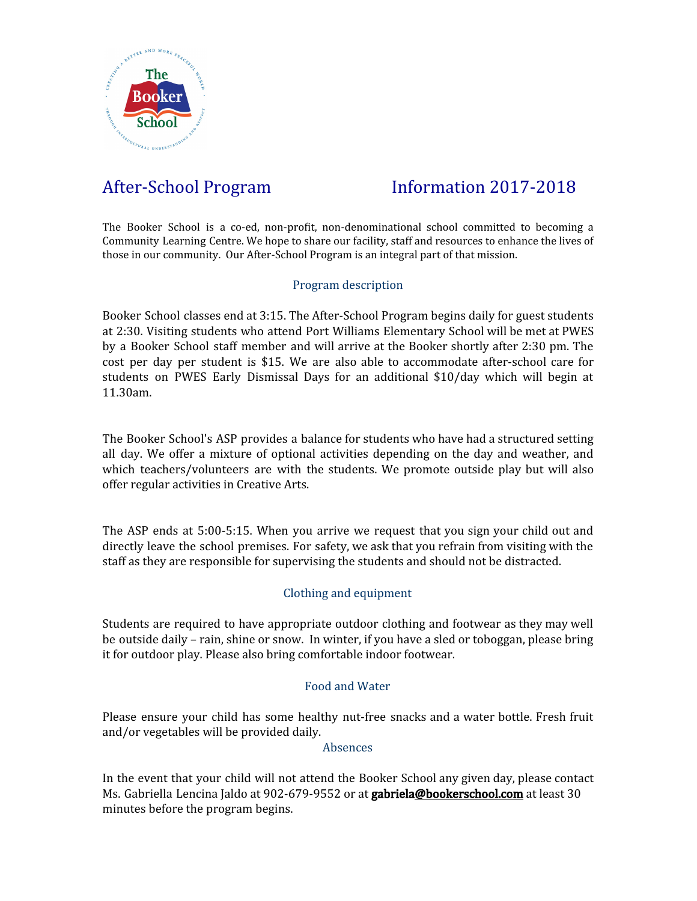

# After-School Program Information 2017-2018

The Booker School is a co-ed, non-profit, non-denominational school committed to becoming a Community Learning Centre. We hope to share our facility, staff and resources to enhance the lives of those in our community. Our After-School Program is an integral part of that mission.

## Program description

Booker School classes end at 3:15. The After-School Program begins daily for guest students at 2:30. Visiting students who attend Port Williams Elementary School will be met at PWES by a Booker School staff member and will arrive at the Booker shortly after 2:30 pm. The cost per day per student is \$15. We are also able to accommodate after-school care for students on PWES Early Dismissal Days for an additional \$10/day which will begin at 11.30am.

The Booker School's ASP provides a balance for students who have had a structured setting all day. We offer a mixture of optional activities depending on the day and weather, and which teachers/volunteers are with the students. We promote outside play but will also offer regular activities in Creative Arts.

The ASP ends at 5:00-5:15. When you arrive we request that you sign your child out and directly leave the school premises. For safety, we ask that you refrain from visiting with the staff as they are responsible for supervising the students and should not be distracted.

# Clothing and equipment

Students are required to have appropriate outdoor clothing and footwear as they may well be outside daily – rain, shine or snow. In winter, if you have a sled or toboggan, please bring it for outdoor play. Please also bring comfortable indoor footwear.

## Food and Water

Please ensure your child has some healthy nut-free snacks and a water bottle. Fresh fruit and/or vegetables will be provided daily.

### Absences

In the event that your child will not attend the Booker School any given day, please contact Ms. Gabriella Lencina Jaldo at 902-679-9552 or at **gabriela[@bookerschool.com](mailto:rreeve@bookerschool.com)** at least 30 minutes before the program begins.